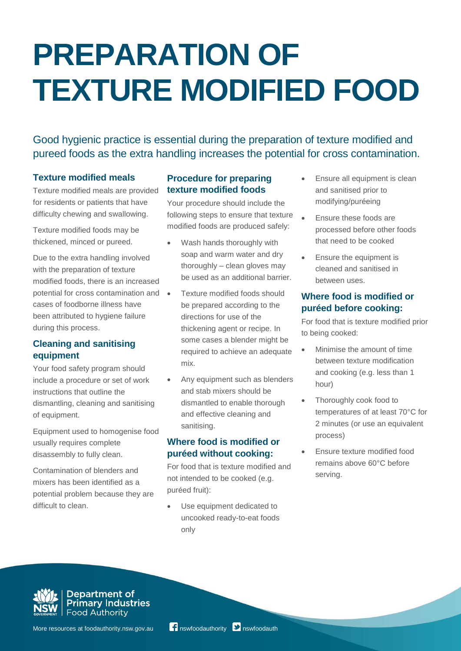# **PREPARATION OF TEXTURE MODIFIED FOOD**

Good hygienic practice is essential during the preparation of texture modified and pureed foods as the extra handling increases the potential for cross contamination.

#### **Texture modified meals**

Texture modified meals are provided for residents or patients that have difficulty chewing and swallowing.

Texture modified foods may be thickened, minced or pureed.

Due to the extra handling involved with the preparation of texture modified foods, there is an increased potential for cross contamination and cases of foodborne illness have been attributed to hygiene failure during this process.

# **Cleaning and sanitising equipment**

Your food safety program should include a procedure or set of work instructions that outline the dismantling, cleaning and sanitising of equipment.

Equipment used to homogenise food usually requires complete disassembly to fully clean.

Contamination of blenders and mixers has been identified as a potential problem because they are difficult to clean.

# **Procedure for preparing texture modified foods**

Your procedure should include the following steps to ensure that texture modified foods are produced safely:

- Wash hands thoroughly with soap and warm water and dry thoroughly – clean gloves may be used as an additional barrier.
- Texture modified foods should be prepared according to the directions for use of the thickening agent or recipe. In some cases a blender might be required to achieve an adequate mix.
- Any equipment such as blenders and stab mixers should be dismantled to enable thorough and effective cleaning and sanitising.

#### **Where food is modified or puréed without cooking:**

For food that is texture modified and not intended to be cooked (e.g. puréed fruit):

 Use equipment dedicated to uncooked ready-to-eat foods only

- Ensure all equipment is clean and sanitised prior to modifying/puréeing
- Ensure these foods are processed before other foods that need to be cooked
- Ensure the equipment is cleaned and sanitised in between uses.

#### **Where food is modified or puréed before cooking:**

For food that is texture modified prior to being cooked:

- Minimise the amount of time between texture modification and cooking (e.g. less than 1 hour)
- Thoroughly cook food to temperatures of at least 70°C for 2 minutes (or use an equivalent process)
- Ensure texture modified food remains above 60°C before serving.



**Department of<br>Primary Industries**<br>Food Authority

More resources at foodauthority.nsw.gov.au **19** nswfoodauthority **D** nswfoodauth